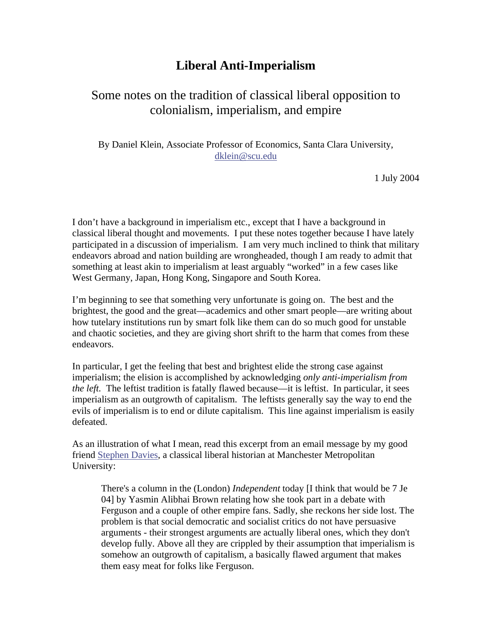## **Liberal Anti-Imperialism**

## Some notes on the tradition of classical liberal opposition to colonialism, imperialism, and empire

By Daniel Klein, Associate Professor of Economics, Santa Clara University, [dklein@scu.edu](mailto:dklein@scu.edu)

1 July 2004

I don't have a background in imperialism etc., except that I have a background in classical liberal thought and movements. I put these notes together because I have lately participated in a discussion of imperialism. I am very much inclined to think that military endeavors abroad and nation building are wrongheaded, though I am ready to admit that something at least akin to imperialism at least arguably "worked" in a few cases like West Germany, Japan, Hong Kong, Singapore and South Korea.

I'm beginning to see that something very unfortunate is going on. The best and the brightest, the good and the great—academics and other smart people—are writing about how tutelary institutions run by smart folk like them can do so much good for unstable and chaotic societies, and they are giving short shrift to the harm that comes from these endeavors.

In particular, I get the feeling that best and brightest elide the strong case against imperialism; the elision is accomplished by acknowledging *only anti-imperialism from the left.* The leftist tradition is fatally flawed because—it is leftist. In particular, it sees imperialism as an outgrowth of capitalism. The leftists generally say the way to end the evils of imperialism is to end or dilute capitalism. This line against imperialism is easily defeated.

As an illustration of what I mean, read this excerpt from an email message by my good friend [Stephen Davies,](http://www.hlss.mmu.ac.uk/heh/staff/profile.php?id=42) a classical liberal historian at Manchester Metropolitan University:

There's a column in the (London) *Independent* today [I think that would be 7 Je 04] by Yasmin Alibhai Brown relating how she took part in a debate with Ferguson and a couple of other empire fans. Sadly, she reckons her side lost. The problem is that social democratic and socialist critics do not have persuasive arguments - their strongest arguments are actually liberal ones, which they don't develop fully. Above all they are crippled by their assumption that imperialism is somehow an outgrowth of capitalism, a basically flawed argument that makes them easy meat for folks like Ferguson.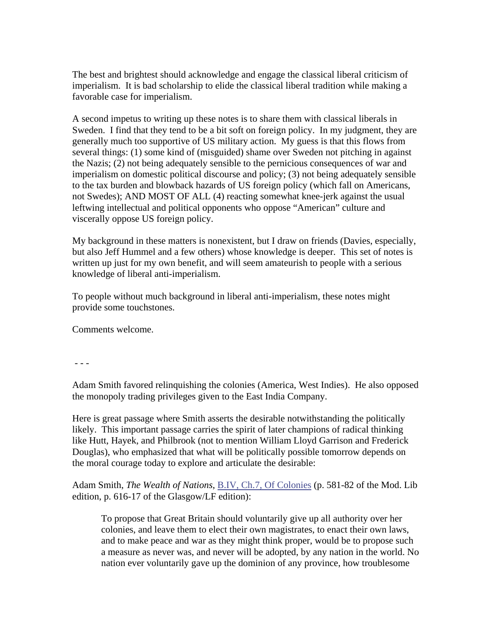The best and brightest should acknowledge and engage the classical liberal criticism of imperialism. It is bad scholarship to elide the classical liberal tradition while making a favorable case for imperialism.

A second impetus to writing up these notes is to share them with classical liberals in Sweden. I find that they tend to be a bit soft on foreign policy. In my judgment, they are generally much too supportive of US military action. My guess is that this flows from several things: (1) some kind of (misguided) shame over Sweden not pitching in against the Nazis; (2) not being adequately sensible to the pernicious consequences of war and imperialism on domestic political discourse and policy; (3) not being adequately sensible to the tax burden and blowback hazards of US foreign policy (which fall on Americans, not Swedes); AND MOST OF ALL (4) reacting somewhat knee-jerk against the usual leftwing intellectual and political opponents who oppose "American" culture and viscerally oppose US foreign policy.

My background in these matters is nonexistent, but I draw on friends (Davies, especially, but also Jeff Hummel and a few others) whose knowledge is deeper. This set of notes is written up just for my own benefit, and will seem amateurish to people with a serious knowledge of liberal anti-imperialism.

To people without much background in liberal anti-imperialism, these notes might provide some touchstones.

Comments welcome.

- - -

Adam Smith favored relinquishing the colonies (America, West Indies). He also opposed the monopoly trading privileges given to the East India Company.

Here is great passage where Smith asserts the desirable notwithstanding the politically likely. This important passage carries the spirit of later champions of radical thinking like Hutt, Hayek, and Philbrook (not to mention William Lloyd Garrison and Frederick Douglas), who emphasized that what will be politically possible tomorrow depends on the moral courage today to explore and articulate the desirable:

Adam Smith, *The Wealth of Nations*, B.IV, Ch.7, Of Colonies (p. 581-82 of the Mod. Lib edition, p. 616-17 of the Glasgow/LF edition):

To propose that Great Britain should voluntarily give up all authority over her colonies, and leave them to elect their own magistrates, to enact their own laws, and to make peace and war as they might think proper, would be to propose such a measure as never was, and never will be adopted, by any nation in the world. No nation ever voluntarily gave up the dominion of any province, how troublesome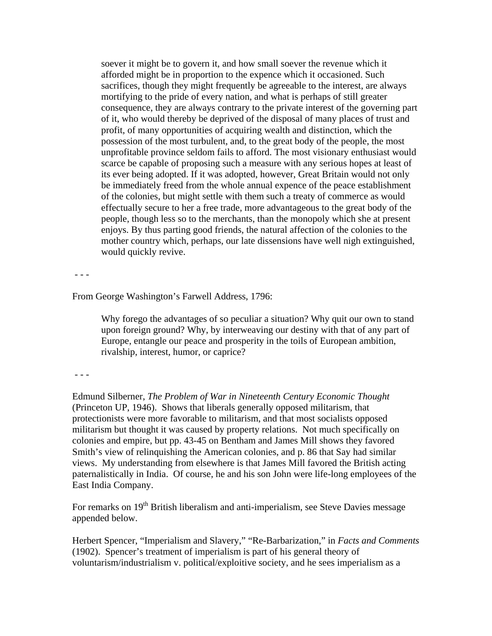soever it might be to govern it, and how small soever the revenue which it afforded might be in proportion to the expence which it occasioned. Such sacrifices, though they might frequently be agreeable to the interest, are always mortifying to the pride of every nation, and what is perhaps of still greater consequence, they are always contrary to the private interest of the governing part of it, who would thereby be deprived of the disposal of many places of trust and profit, of many opportunities of acquiring wealth and distinction, which the possession of the most turbulent, and, to the great body of the people, the most unprofitable province seldom fails to afford. The most visionary enthusiast would scarce be capable of proposing such a measure with any serious hopes at least of its ever being adopted. If it was adopted, however, Great Britain would not only be immediately freed from the whole annual expence of the peace establishment of the colonies, but might settle with them such a treaty of commerce as would effectually secure to her a free trade, more advantageous to the great body of the people, though less so to the merchants, than the monopoly which she at present enjoys. By thus parting good friends, the natural affection of the colonies to the mother country which, perhaps, our late dissensions have well nigh extinguished, would quickly revive.

- - -

From George Washington's Farwell Address, 1796:

Why forego the advantages of so peculiar a situation? Why quit our own to stand upon foreign ground? Why, by interweaving our destiny with that of any part of Europe, entangle our peace and prosperity in the toils of European ambition, rivalship, interest, humor, or caprice?

- - -

Edmund Silberner, *The Problem of War in Nineteenth Century Economic Thought*  (Princeton UP, 1946). Shows that liberals generally opposed militarism, that protectionists were more favorable to militarism, and that most socialists opposed militarism but thought it was caused by property relations. Not much specifically on colonies and empire, but pp. 43-45 on Bentham and James Mill shows they favored Smith's view of relinquishing the American colonies, and p. 86 that Say had similar views. My understanding from elsewhere is that James Mill favored the British acting paternalistically in India. Of course, he and his son John were life-long employees of the East India Company.

For remarks on  $19<sup>th</sup>$  British liberalism and anti-imperialism, see Steve Davies message appended below.

Herbert Spencer, "Imperialism and Slavery," "Re-Barbarization," in *Facts and Comments* (1902). Spencer's treatment of imperialism is part of his general theory of voluntarism/industrialism v. political/exploitive society, and he sees imperialism as a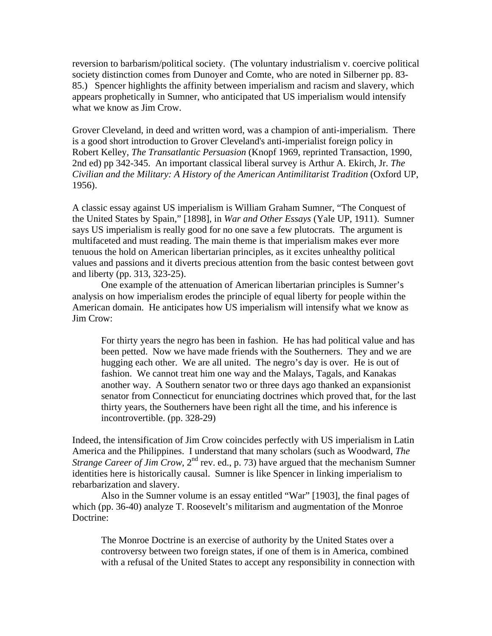reversion to barbarism/political society. (The voluntary industrialism v. coercive political society distinction comes from Dunoyer and Comte, who are noted in Silberner pp. 83- 85.) Spencer highlights the affinity between imperialism and racism and slavery, which appears prophetically in Sumner, who anticipated that US imperialism would intensify what we know as Jim Crow.

Grover Cleveland, in deed and written word, was a champion of anti-imperialism. There is a good short introduction to Grover Cleveland's anti-imperialist foreign policy in Robert Kelley, *The Transatlantic Persuasion* (Knopf 1969, reprinted Transaction, 1990, 2nd ed) pp 342-345. An important classical liberal survey is Arthur A. Ekirch, Jr. *The Civilian and the Military: A History of the American Antimilitarist Tradition* (Oxford UP, 1956).

A classic essay against US imperialism is William Graham Sumner, "The Conquest of the United States by Spain," [1898], in *War and Other Essays* (Yale UP, 1911). Sumner says US imperialism is really good for no one save a few plutocrats. The argument is multifaceted and must reading. The main theme is that imperialism makes ever more tenuous the hold on American libertarian principles, as it excites unhealthy political values and passions and it diverts precious attention from the basic contest between govt and liberty (pp. 313, 323-25).

 One example of the attenuation of American libertarian principles is Sumner's analysis on how imperialism erodes the principle of equal liberty for people within the American domain. He anticipates how US imperialism will intensify what we know as Jim Crow:

For thirty years the negro has been in fashion. He has had political value and has been petted. Now we have made friends with the Southerners. They and we are hugging each other. We are all united. The negro's day is over. He is out of fashion. We cannot treat him one way and the Malays, Tagals, and Kanakas another way. A Southern senator two or three days ago thanked an expansionist senator from Connecticut for enunciating doctrines which proved that, for the last thirty years, the Southerners have been right all the time, and his inference is incontrovertible. (pp. 328-29)

Indeed, the intensification of Jim Crow coincides perfectly with US imperialism in Latin America and the Philippines. I understand that many scholars (such as Woodward, *The Strange Career of Jim Crow*, 2<sup>nd</sup> rev. ed., p. 73) have argued that the mechanism Sumner identities here is historically causal. Sumner is like Spencer in linking imperialism to rebarbarization and slavery.

 Also in the Sumner volume is an essay entitled "War" [1903], the final pages of which (pp. 36-40) analyze T. Roosevelt's militarism and augmentation of the Monroe Doctrine:

The Monroe Doctrine is an exercise of authority by the United States over a controversy between two foreign states, if one of them is in America, combined with a refusal of the United States to accept any responsibility in connection with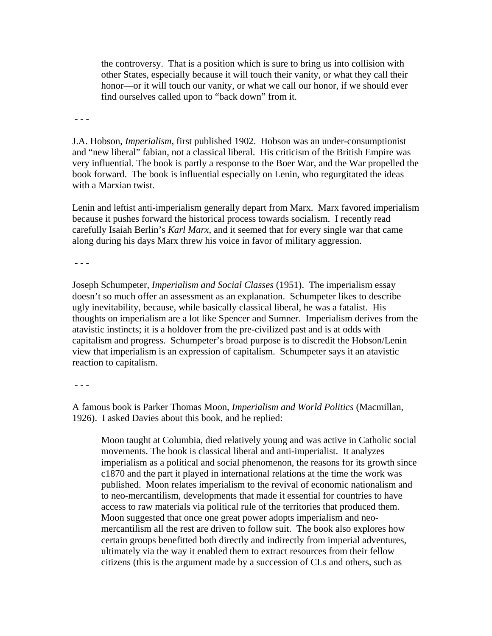the controversy. That is a position which is sure to bring us into collision with other States, especially because it will touch their vanity, or what they call their honor—or it will touch our vanity, or what we call our honor, if we should ever find ourselves called upon to "back down" from it.

- - -

J.A. Hobson, *Imperialism*, first published 1902. Hobson was an under-consumptionist and "new liberal" fabian, not a classical liberal. His criticism of the British Empire was very influential. The book is partly a response to the Boer War, and the War propelled the book forward. The book is influential especially on Lenin, who regurgitated the ideas with a Marxian twist.

Lenin and leftist anti-imperialism generally depart from Marx. Marx favored imperialism because it pushes forward the historical process towards socialism. I recently read carefully Isaiah Berlin's *Karl Marx*, and it seemed that for every single war that came along during his days Marx threw his voice in favor of military aggression.

- - -

Joseph Schumpeter, *Imperialism and Social Classes* (1951). The imperialism essay doesn't so much offer an assessment as an explanation. Schumpeter likes to describe ugly inevitability, because, while basically classical liberal, he was a fatalist. His thoughts on imperialism are a lot like Spencer and Sumner. Imperialism derives from the atavistic instincts; it is a holdover from the pre-civilized past and is at odds with capitalism and progress. Schumpeter's broad purpose is to discredit the Hobson/Lenin view that imperialism is an expression of capitalism. Schumpeter says it an atavistic reaction to capitalism.

 $- - -$ 

A famous book is Parker Thomas Moon, *Imperialism and World Politics* (Macmillan, 1926). I asked Davies about this book, and he replied:

Moon taught at Columbia, died relatively young and was active in Catholic social movements. The book is classical liberal and anti-imperialist. It analyzes imperialism as a political and social phenomenon, the reasons for its growth since c1870 and the part it played in international relations at the time the work was published. Moon relates imperialism to the revival of economic nationalism and to neo-mercantilism, developments that made it essential for countries to have access to raw materials via political rule of the territories that produced them. Moon suggested that once one great power adopts imperialism and neomercantilism all the rest are driven to follow suit. The book also explores how certain groups benefitted both directly and indirectly from imperial adventures, ultimately via the way it enabled them to extract resources from their fellow citizens (this is the argument made by a succession of CLs and others, such as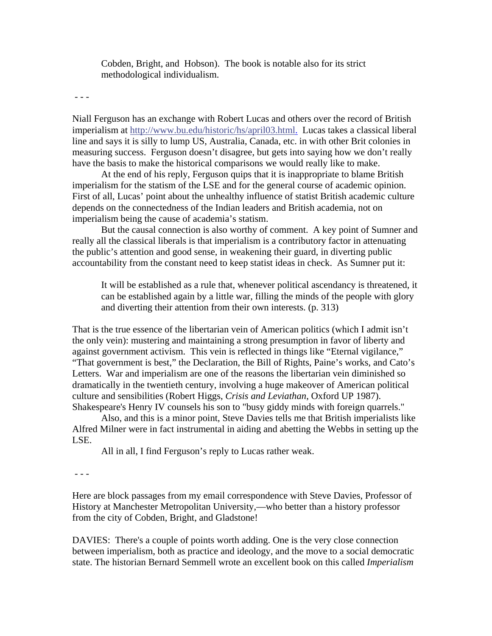Cobden, Bright, and Hobson). The book is notable also for its strict methodological individualism.

- - -

Niall Ferguson has an exchange with Robert Lucas and others over the record of British imperialism at [http://www.bu.edu/historic/hs/april03.html.](http://www.bu.edu/historic/hs/april03.html) Lucas takes a classical liberal line and says it is silly to lump US, Australia, Canada, etc. in with other Brit colonies in measuring success. Ferguson doesn't disagree, but gets into saying how we don't really have the basis to make the historical comparisons we would really like to make.

 At the end of his reply, Ferguson quips that it is inappropriate to blame British imperialism for the statism of the LSE and for the general course of academic opinion. First of all, Lucas' point about the unhealthy influence of statist British academic culture depends on the connectedness of the Indian leaders and British academia, not on imperialism being the cause of academia's statism.

 But the causal connection is also worthy of comment. A key point of Sumner and really all the classical liberals is that imperialism is a contributory factor in attenuating the public's attention and good sense, in weakening their guard, in diverting public accountability from the constant need to keep statist ideas in check. As Sumner put it:

It will be established as a rule that, whenever political ascendancy is threatened, it can be established again by a little war, filling the minds of the people with glory and diverting their attention from their own interests. (p. 313)

That is the true essence of the libertarian vein of American politics (which I admit isn't the only vein): mustering and maintaining a strong presumption in favor of liberty and against government activism. This vein is reflected in things like "Eternal vigilance," "That government is best," the Declaration, the Bill of Rights, Paine's works, and Cato's Letters. War and imperialism are one of the reasons the libertarian vein diminished so dramatically in the twentieth century, involving a huge makeover of American political culture and sensibilities (Robert Higgs, *Crisis and Leviathan*, Oxford UP 1987). Shakespeare's Henry IV counsels his son to "busy giddy minds with foreign quarrels."

 Also, and this is a minor point, Steve Davies tells me that British imperialists like Alfred Milner were in fact instrumental in aiding and abetting the Webbs in setting up the LSE.

All in all, I find Ferguson's reply to Lucas rather weak.

- - -

Here are block passages from my email correspondence with Steve Davies, Professor of History at Manchester Metropolitan University,—who better than a history professor from the city of Cobden, Bright, and Gladstone!

DAVIES: There's a couple of points worth adding. One is the very close connection between imperialism, both as practice and ideology, and the move to a social democratic state. The historian Bernard Semmell wrote an excellent book on this called *Imperialism*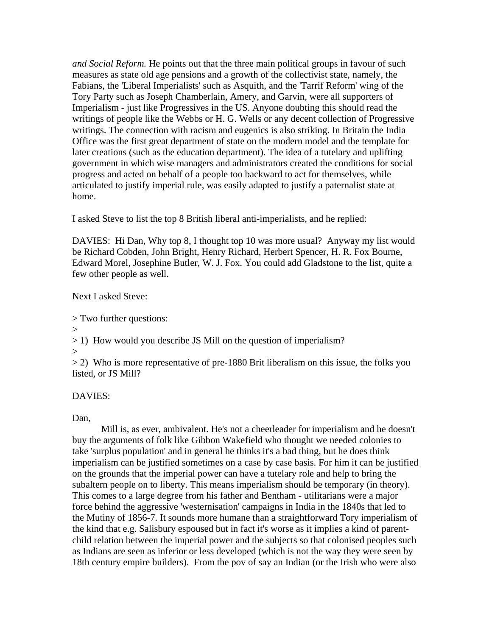*and Social Reform.* He points out that the three main political groups in favour of such measures as state old age pensions and a growth of the collectivist state, namely, the Fabians, the 'Liberal Imperialists' such as Asquith, and the 'Tarrif Reform' wing of the Tory Party such as Joseph Chamberlain, Amery, and Garvin, were all supporters of Imperialism - just like Progressives in the US. Anyone doubting this should read the writings of people like the Webbs or H. G. Wells or any decent collection of Progressive writings. The connection with racism and eugenics is also striking. In Britain the India Office was the first great department of state on the modern model and the template for later creations (such as the education department). The idea of a tutelary and uplifting government in which wise managers and administrators created the conditions for social progress and acted on behalf of a people too backward to act for themselves, while articulated to justify imperial rule, was easily adapted to justify a paternalist state at home.

I asked Steve to list the top 8 British liberal anti-imperialists, and he replied:

DAVIES: Hi Dan, Why top 8, I thought top 10 was more usual? Anyway my list would be Richard Cobden, John Bright, Henry Richard, Herbert Spencer, H. R. Fox Bourne, Edward Morel, Josephine Butler, W. J. Fox. You could add Gladstone to the list, quite a few other people as well.

Next I asked Steve:

> Two further questions:

>

> 1) How would you describe JS Mill on the question of imperialism?

>

 $> 2$ ) Who is more representative of pre-1880 Brit liberalism on this issue, the folks you listed, or JS Mill?

## DAVIES:

Dan.

 Mill is, as ever, ambivalent. He's not a cheerleader for imperialism and he doesn't buy the arguments of folk like Gibbon Wakefield who thought we needed colonies to take 'surplus population' and in general he thinks it's a bad thing, but he does think imperialism can be justified sometimes on a case by case basis. For him it can be justified on the grounds that the imperial power can have a tutelary role and help to bring the subaltern people on to liberty. This means imperialism should be temporary (in theory). This comes to a large degree from his father and Bentham - utilitarians were a major force behind the aggressive 'westernisation' campaigns in India in the 1840s that led to the Mutiny of 1856-7. It sounds more humane than a straightforward Tory imperialism of the kind that e.g. Salisbury espoused but in fact it's worse as it implies a kind of parentchild relation between the imperial power and the subjects so that colonised peoples such as Indians are seen as inferior or less developed (which is not the way they were seen by 18th century empire builders). From the pov of say an Indian (or the Irish who were also